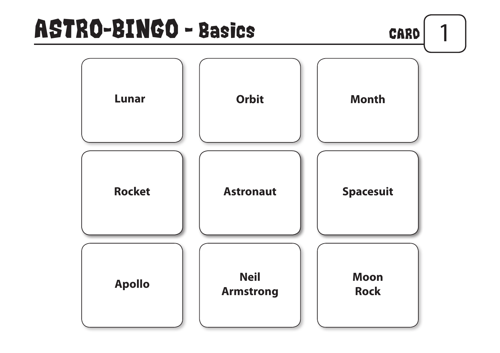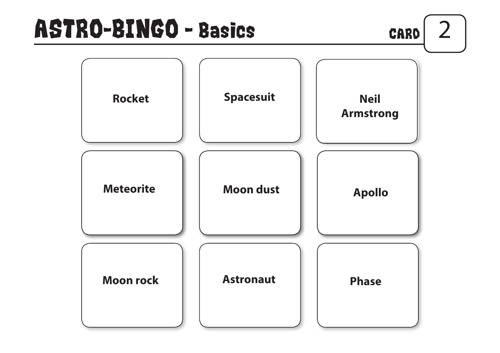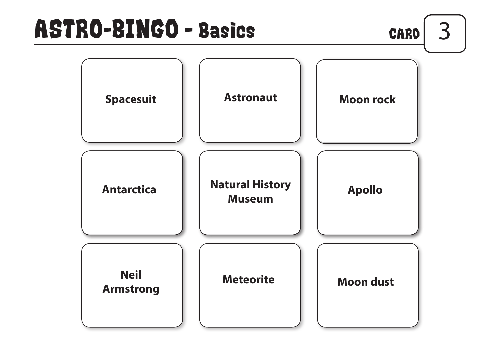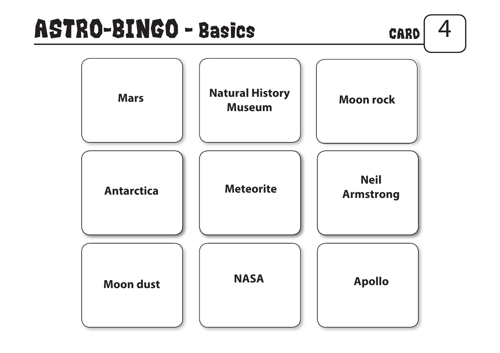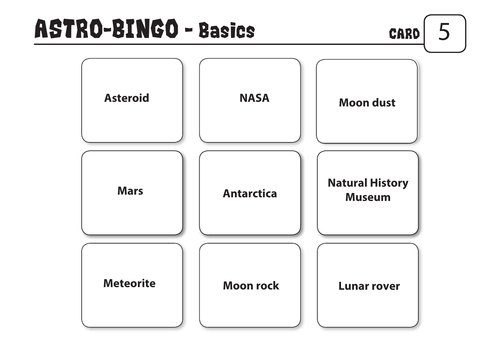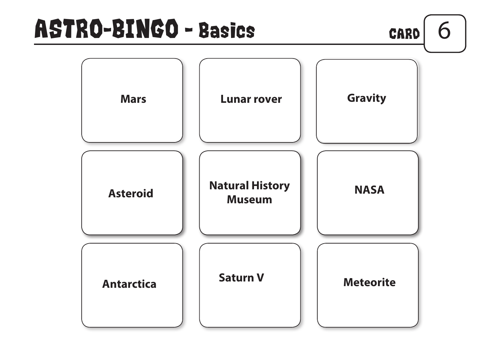